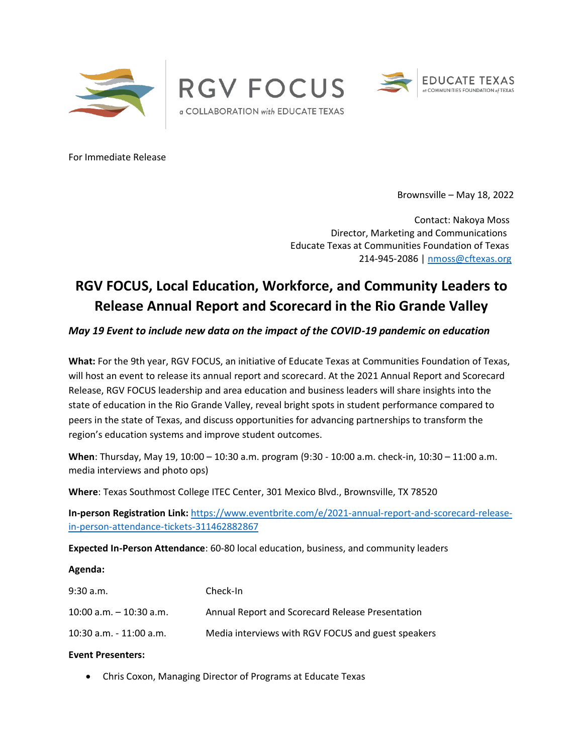





For Immediate Release

Brownsville – May 18, 2022

Contact: Nakoya Moss Director, Marketing and Communications Educate Texas at Communities Foundation of Texas 214-945-2086 | [nmoss@cftexas.org](mailto:nmoss@cftexas.org)

# **RGV FOCUS, Local Education, Workforce, and Community Leaders to Release Annual Report and Scorecard in the Rio Grande Valley**

*May 19 Event to include new data on the impact of the COVID-19 pandemic on education*

**What:** For the 9th year, RGV FOCUS, an initiative of Educate Texas at Communities Foundation of Texas, will host an event to release its annual report and scorecard. At the 2021 Annual Report and Scorecard Release, RGV FOCUS leadership and area education and business leaders will share insights into the state of education in the Rio Grande Valley, reveal bright spots in student performance compared to peers in the state of Texas, and discuss opportunities for advancing partnerships to transform the region's education systems and improve student outcomes.

**When**: Thursday, May 19, 10:00 – 10:30 a.m. program (9:30 - 10:00 a.m. check-in, 10:30 – 11:00 a.m. media interviews and photo ops)

**Where**: Texas Southmost College ITEC Center, 301 Mexico Blvd., Brownsville, TX 78520

**In-person Registration Link:** [https://www.eventbrite.com/e/2021-annual-report-and-scorecard-release](https://www.eventbrite.com/e/2021-annual-report-and-scorecard-release-in-person-attendance-tickets-311462882867)[in-person-attendance-tickets-311462882867](https://www.eventbrite.com/e/2021-annual-report-and-scorecard-release-in-person-attendance-tickets-311462882867)

**Expected In-Person Attendance**: 60-80 local education, business, and community leaders

#### **Agenda:**

| $9:30$ a.m.                | Check-In                                           |
|----------------------------|----------------------------------------------------|
| $10:00$ a.m. $-10:30$ a.m. | Annual Report and Scorecard Release Presentation   |
| 10:30 a.m. - 11:00 a.m.    | Media interviews with RGV FOCUS and guest speakers |

#### **Event Presenters:**

• Chris Coxon, Managing Director of Programs at Educate Texas